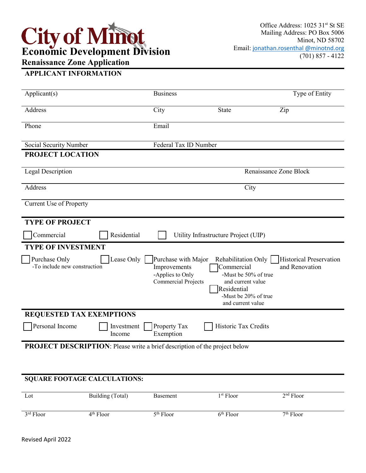## **Economic Development Division Renaissance Zone Application**

## **APPLICANT INFORMATION**

| Applicant(s)                                                                      | <b>Business</b>                                                                       |                                                                                                                                            | Type of Entity                                   |
|-----------------------------------------------------------------------------------|---------------------------------------------------------------------------------------|--------------------------------------------------------------------------------------------------------------------------------------------|--------------------------------------------------|
| Address                                                                           | City                                                                                  | <b>State</b>                                                                                                                               | Zip                                              |
| Phone                                                                             | Email                                                                                 |                                                                                                                                            |                                                  |
| Social Security Number                                                            | Federal Tax ID Number                                                                 |                                                                                                                                            |                                                  |
| PROJECT LOCATION                                                                  |                                                                                       |                                                                                                                                            |                                                  |
| Legal Description                                                                 |                                                                                       |                                                                                                                                            | Renaissance Zone Block                           |
| Address                                                                           |                                                                                       | City                                                                                                                                       |                                                  |
| Current Use of Property                                                           |                                                                                       |                                                                                                                                            |                                                  |
| <b>TYPE OF PROJECT</b>                                                            |                                                                                       |                                                                                                                                            |                                                  |
| Residential<br>Commercial                                                         |                                                                                       | Utility Infrastructure Project (UIP)                                                                                                       |                                                  |
| <b>TYPE OF INVESTMENT</b>                                                         |                                                                                       |                                                                                                                                            |                                                  |
| Lease Only<br>Purchase Only<br>-To include new construction                       | Purchase with Major<br>Improvements<br>-Applies to Only<br><b>Commercial Projects</b> | Rehabilitation Only<br>Commercial<br>-Must be 50% of true<br>and current value<br>Residential<br>-Must be 20% of true<br>and current value | <b>Historical Preservation</b><br>and Renovation |
| <b>REQUESTED TAX EXEMPTIONS</b>                                                   |                                                                                       |                                                                                                                                            |                                                  |
| Personal Income<br>Investment<br>Income                                           | Property Tax<br>Exemption                                                             | Historic Tax Credits                                                                                                                       |                                                  |
| <b>PROJECT DESCRIPTION:</b> Please write a brief description of the project below |                                                                                       |                                                                                                                                            |                                                  |
|                                                                                   |                                                                                       |                                                                                                                                            |                                                  |
| <b>SQUARE FOOTAGE CALCULATIONS:</b>                                               |                                                                                       |                                                                                                                                            |                                                  |

| Lot         | Building (Total) | Basement    | 1 <sup>st</sup> Floor | $2nd$ Floor |
|-------------|------------------|-------------|-----------------------|-------------|
| $3rd$ Floor | $4th$ Floor      | $5th$ Floor | $6th$ Floor           | $7th$ Floor |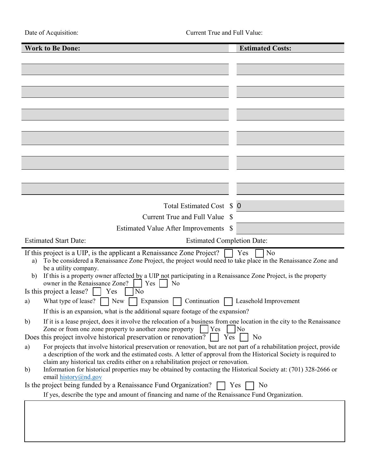| <b>Work to Be Done:</b>                                                                                                                                                                                                                                                                                                                  | <b>Estimated Costs:</b> |
|------------------------------------------------------------------------------------------------------------------------------------------------------------------------------------------------------------------------------------------------------------------------------------------------------------------------------------------|-------------------------|
|                                                                                                                                                                                                                                                                                                                                          |                         |
|                                                                                                                                                                                                                                                                                                                                          |                         |
|                                                                                                                                                                                                                                                                                                                                          |                         |
|                                                                                                                                                                                                                                                                                                                                          |                         |
|                                                                                                                                                                                                                                                                                                                                          |                         |
|                                                                                                                                                                                                                                                                                                                                          |                         |
|                                                                                                                                                                                                                                                                                                                                          |                         |
|                                                                                                                                                                                                                                                                                                                                          |                         |
|                                                                                                                                                                                                                                                                                                                                          |                         |
|                                                                                                                                                                                                                                                                                                                                          |                         |
|                                                                                                                                                                                                                                                                                                                                          |                         |
|                                                                                                                                                                                                                                                                                                                                          |                         |
|                                                                                                                                                                                                                                                                                                                                          |                         |
| Total Estimated Cost \$ 0                                                                                                                                                                                                                                                                                                                |                         |
| Current True and Full Value \$                                                                                                                                                                                                                                                                                                           |                         |
| <b>Estimated Value After Improvements</b><br><sup>S</sup>                                                                                                                                                                                                                                                                                |                         |
| <b>Estimated Start Date:</b><br><b>Estimated Completion Date:</b>                                                                                                                                                                                                                                                                        |                         |
| If this project is a UIP, is the applicant a Renaissance Zone Project?<br>To be considered a Renaissance Zone Project, the project would need to take place in the Renaissance Zone and<br>a)                                                                                                                                            | No<br>Yes               |
| be a utility company.<br>If this is a property owner affected by a UIP not participating in a Renaissance Zone Project, is the property<br>b)<br>owner in the Renaissance Zone?<br>Yes<br>No                                                                                                                                             |                         |
| Is this project a lease?<br>No<br>Yes                                                                                                                                                                                                                                                                                                    |                         |
| What type of lease?<br>Expansion<br>Continuation<br>New<br>a)                                                                                                                                                                                                                                                                            | Leasehold Improvement   |
| If this is an expansion, what is the additional square footage of the expansion?                                                                                                                                                                                                                                                         |                         |
| If it is a lease project, does it involve the relocation of a business from one location in the city to the Renaissance<br>b)<br>Yes<br>Zone or from one zone property to another zone property                                                                                                                                          | No                      |
| Does this project involve historical preservation or renovation?<br>Yes                                                                                                                                                                                                                                                                  | No                      |
| For projects that involve historical preservation or renovation, but are not part of a rehabilitation project, provide<br>a)<br>a description of the work and the estimated costs. A letter of approval from the Historical Society is required to<br>claim any historical tax credits either on a rehabilitation project or renovation. |                         |
| Information for historical properties may be obtained by contacting the Historical Society at: (701) 328-2666 or<br>$\mathbf{b}$<br>email history@nd.gov                                                                                                                                                                                 |                         |
| Is the project being funded by a Renaissance Fund Organization?                                                                                                                                                                                                                                                                          | Yes<br>N <sub>0</sub>   |
| If yes, describe the type and amount of financing and name of the Renaissance Fund Organization.                                                                                                                                                                                                                                         |                         |
|                                                                                                                                                                                                                                                                                                                                          |                         |
|                                                                                                                                                                                                                                                                                                                                          |                         |
|                                                                                                                                                                                                                                                                                                                                          |                         |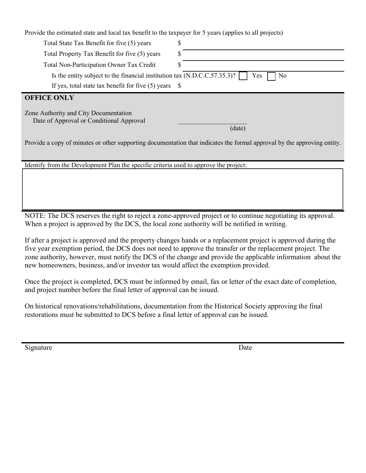Provide the estimated state and local tax benefit to the taxpayer for 5 years (applies to all projects)

| Total State Tax Benefit for five (5) years                                                                              | \$        |  |
|-------------------------------------------------------------------------------------------------------------------------|-----------|--|
| Total Property Tax Benefit for five (5) years                                                                           |           |  |
| Total Non-Participation Owner Tax Credit                                                                                |           |  |
| Is the entity subject to the financial institution tax (N.D.C.C.57.35.3)?                                               | Yes<br>No |  |
| If yes, total state tax benefit for five $(5)$ years $\$$                                                               |           |  |
| <b>OFFICE ONLY</b>                                                                                                      |           |  |
| Zone Authority and City Documentation<br>Date of Approval or Conditional Approval                                       | (date)    |  |
| Provide a copy of minutes or other supporting documentation that indicates the formal approval by the approving entity. |           |  |

Identify from the Development Plan the specific criteria used to approve the project:

NOTE: The DCS reserves the right to reject a zone-approved project or to continue negotiating its approval. When a project is approved by the DCS, the local zone authority will be notified in writing.

If after a project is approved and the property changes hands or a replacement project is approved during the five year exemption period, the DCS does not need to approve the transfer or the replacement project. The zone authority, however, must notify the DCS of the change and provide the applicable information about the new homeowners, business, and/or investor tax would affect the exemption provided.

Once the project is completed, DCS must be informed by email, fax or letter of the exact date of completion, and project number before the final letter of approval can be issued.

On historical renovations/rehabilitations, documentation from the Historical Society approving the final restorations must be submitted to DCS before a final letter of approval can be issued.

Signature Date